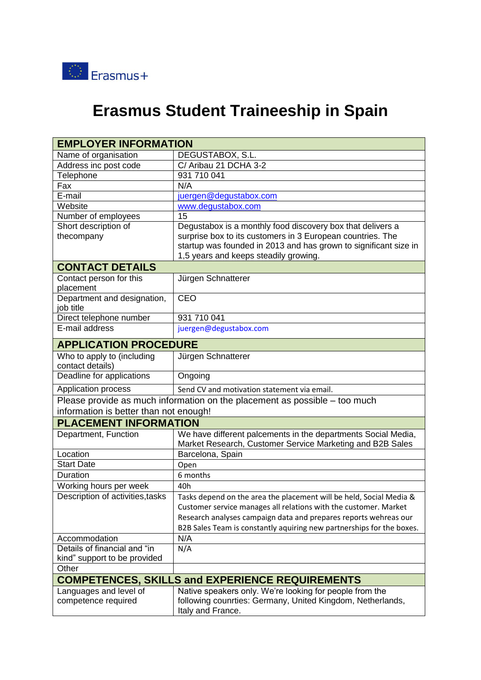

## **Erasmus Student Traineeship in Spain**

| <b>EMPLOYER INFORMATION</b>                                                                                          |                                                                                                                                            |  |
|----------------------------------------------------------------------------------------------------------------------|--------------------------------------------------------------------------------------------------------------------------------------------|--|
| Name of organisation                                                                                                 | DEGUSTABOX, S.L.                                                                                                                           |  |
| Address inc post code                                                                                                | C/ Aribau 21 DCHA 3-2                                                                                                                      |  |
| Telephone                                                                                                            | 931 710 041                                                                                                                                |  |
| Fax                                                                                                                  | N/A                                                                                                                                        |  |
| E-mail                                                                                                               | juergen@degustabox.com                                                                                                                     |  |
| Website                                                                                                              | www.degustabox.com                                                                                                                         |  |
| Number of employees                                                                                                  | 15                                                                                                                                         |  |
| Short description of                                                                                                 | Degustabox is a monthly food discovery box that delivers a                                                                                 |  |
| thecompany                                                                                                           | surprise box to its customers in 3 European countries. The                                                                                 |  |
|                                                                                                                      | startup was founded in 2013 and has grown to significant size in                                                                           |  |
| 1,5 years and keeps steadily growing.<br><b>CONTACT DETAILS</b>                                                      |                                                                                                                                            |  |
| Contact person for this                                                                                              | Jürgen Schnatterer                                                                                                                         |  |
| placement                                                                                                            |                                                                                                                                            |  |
| Department and designation,                                                                                          | <b>CEO</b>                                                                                                                                 |  |
| job title                                                                                                            |                                                                                                                                            |  |
| Direct telephone number                                                                                              | 931 710 041                                                                                                                                |  |
| E-mail address                                                                                                       | juergen@degustabox.com                                                                                                                     |  |
| <b>APPLICATION PROCEDURE</b>                                                                                         |                                                                                                                                            |  |
| Who to apply to (including<br>contact details)                                                                       | Jürgen Schnatterer                                                                                                                         |  |
| Deadline for applications                                                                                            | Ongoing                                                                                                                                    |  |
| Application process                                                                                                  | Send CV and motivation statement via email.                                                                                                |  |
| Please provide as much information on the placement as possible – too much<br>information is better than not enough! |                                                                                                                                            |  |
| <b>PLACEMENT INFORMATION</b>                                                                                         |                                                                                                                                            |  |
| Department, Function                                                                                                 | We have different palcements in the departments Social Media,<br>Market Research, Customer Service Marketing and B2B Sales                 |  |
| Location                                                                                                             | Barcelona, Spain                                                                                                                           |  |
| <b>Start Date</b>                                                                                                    | Open                                                                                                                                       |  |
| Duration                                                                                                             | 6 months                                                                                                                                   |  |
| Working hours per week                                                                                               | 40h                                                                                                                                        |  |
| Description of activities, tasks                                                                                     | Tasks depend on the area the placement will be held, Social Media &                                                                        |  |
|                                                                                                                      | Customer service manages all relations with the customer. Market                                                                           |  |
|                                                                                                                      | Research analyses campaign data and prepares reports wehreas our                                                                           |  |
|                                                                                                                      | B2B Sales Team is constantly aquiring new partnerships for the boxes.                                                                      |  |
| Accommodation                                                                                                        | N/A                                                                                                                                        |  |
| Details of financial and "in                                                                                         | N/A                                                                                                                                        |  |
| kind" support to be provided                                                                                         |                                                                                                                                            |  |
| Other                                                                                                                |                                                                                                                                            |  |
| <b>COMPETENCES, SKILLS and EXPERIENCE REQUIREMENTS</b>                                                               |                                                                                                                                            |  |
| Languages and level of<br>competence required                                                                        | Native speakers only. We're looking for people from the<br>following counrties: Germany, United Kingdom, Netherlands,<br>Italy and France. |  |